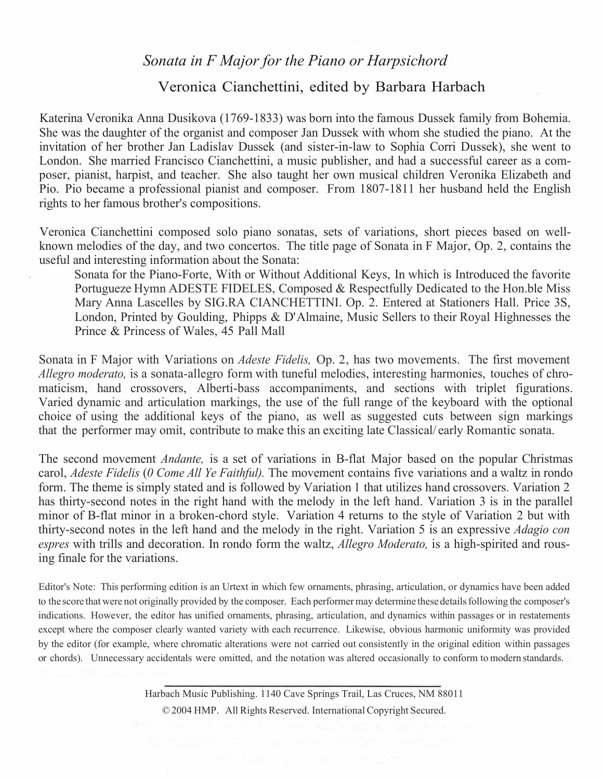## *Sonata in F Major for the Piano or Harpsichord*

## Veronica Cianchettini, edited by Barbara Harbach

Katerina Veronika Anna Dusikova (1769-1833) was born into the famous Dussek family from Bohemia. She was the daughter of the organist and composer Jan Dussek with whom she studied the piano. At the invitation of her brother Jan Ladislav Dussek (and sister-in-law to Sophia Corri Dussek), she went to London. She married Francisco Cianchettini, a music publisher, and had a successful career as a composer, pianist, harpist, and teacher. She also taught her own musical children Veronika Elizabeth and Pio. Pio became a professional pianist and composer. From 1807-1811 her husband held the English rights to her famous brother's compositions.

Veronica Cianchettini composed solo piano sonatas, sets of variations, short pieces based on wellknown melodies of the day, and two concertos. The title page of Sonata in F Major, Op. 2, contains the useful and interesting information about the Sonata:

Sonata for the Piano-Forte, With or Without Additional Keys, In which is Introduced the favorite Portugueze Hymn ADESTE FIDELES, Composed & Respectfully Dedicated to the Hon.ble Miss Mary Anna Lascelles by SIG.RA CIANCHETTINI. Op. 2. Entered at Stationers Hall. Price 3S, London, Printed by Goulding, Phipps & D'Almaine, Music Sellers to their Royal Highnesses the Prince & Princess of Wales, 45 Pall Mall

Sonata in F Major with Variations on *Adeste Fidelis,* Op. 2, has two movements. The first movement *Allegro moderato,* is a sonata-allegro form with tuneful melodies, interesting harmonies, touches of chromaticism, hand crossovers, Alberti-bass accompaniments, and sections with triplet figurations. Varied dynamic and articulation markings, the use of the full range of the keyboard with the optional choice of using the additional keys of the piano, as well as suggested cuts between sign markings that the performer may omit, contribute to make this an exciting late Classical/ early Romantic sonata.

The second movement *Andante,* is a set of variations in B-flat Major based on the popular Christmas carol, *Adeste Fidelis* (*0 Come All Ye Faithful).* The movement contains five variations and a waltz in rondo form. The theme is simply stated and is followed by Variation 1 that utilizes hand crossovers. Variation 2 has thirty-second notes in the right hand with the melody in the left hand. Variation 3 is in the parallel minor of B-flat minor in a broken-chord style. Variation 4 returns to the style of Variation 2 but with thirty-second notes in the left hand and the melody in the right. Variation 5 is an expressive *Adagio con espres* with trills and decoration. In rondo form the waltz, *Allegro Moderato,* is a high-spirited and rousing finale for the variations.

Editor's Note: This performing edition is an Urtext in which few ornaments, phrasing, articulation, or dynamics have been added to the score that were not originally provided by the composer. Each performer may determine these details following the composer's indications. However, the editor has unified ornaments, phrasing, articulation, and dynamics within passages or in restatements except where the composer clearly wanted variety with each recurrence. Likewise, obvious harmonic uniformity was provided by the editor (for example, where chromatic alterations were not carried out consistently in the original edition within passages or chords). Unnecessary accidentals were omitted, and the notation was altered occasionally to conform to modern standards.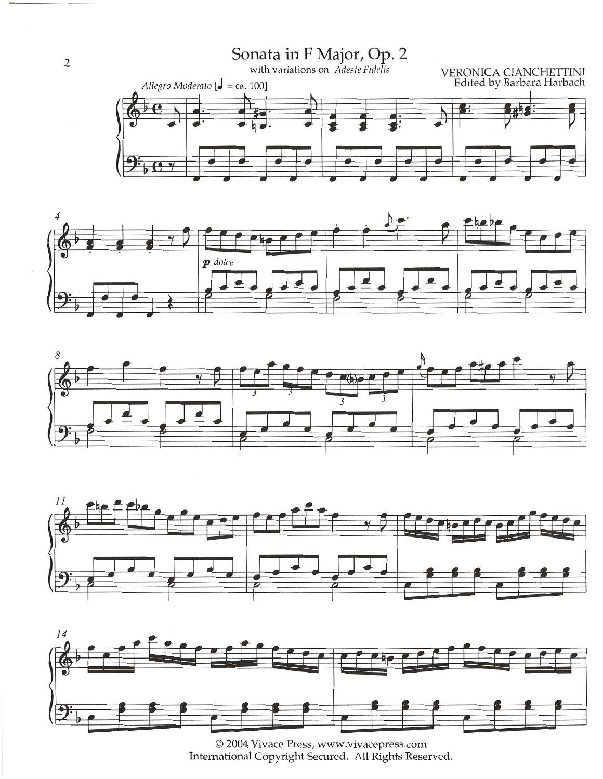## Sonata in F Major, Op. 2<br>with variations on Adeste Fidelis











 $\overline{2}$